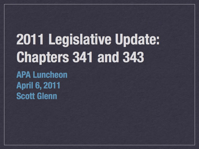#### 2011 Legislative Update: **Chapters 341 and 343 APA Luncheon April 6, 2011 Scott Glenn**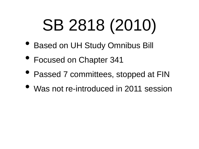## SB 2818 (2010)

- Based on UH Study Omnibus Bill
- Focused on Chapter 341
- Passed 7 committees, stopped at FIN
- Was not re-introduced in 2011 session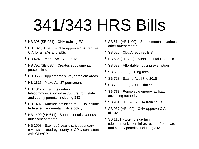#### 341/343 HRS Bills

- HB 396 (SB 981) OHA training EC
- HB 402 (SB 987) OHA approve CIA, require CIA for all EAs and EISs
- HB 424 Extend Act 87 to 2013
- HB 792 (SB 685) Creates supplemental process in statute
- HB 856 Supplementals, key "problem areas"
- HB 1315 Make Act 87 permanent
- HB 1342 Exempts certain telecommunication infrastructure from state and county permits, including 343
- HB 1402 Amends definition of EIS to include federal environmental justice policy
- HB 1409 (SB 614) Supplementals, various other amendments
- HB 1503 Exempt 5-year district boundary reviews initiated by county or OP & consistent with GPs/CPs
- SB 614 (HB 1409) Supplementals, various other amendments
- SB 626 CDUA requires EIS
- SB 685 (HB 792) Supplemental EA or EIS
- SB 688 Affordable housing exemption
- SB 699 OEQC filing fees
- SB 723 Extend Act 87 to 2015
- SB 729 OEQC & EC duties
- SB 773 Renewable energy facilitator accepting authority
- SB 981 (HB 396) OHA training EC
- SB 987 (HB 402) OHA approve CIA, require all CIA
- SB 1161 Exempts certain telecommunication infrastructure from state and county permits, including 343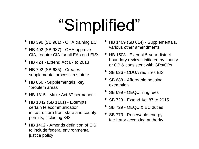## "Simplified"

- HB 396 (SB 981) OHA training EC
- HB 402 (SB 987) OHA approve CIA, require CIA for all EAs and EISs
- HB 424 Extend Act 87 to 2013
- HB 792 (SB 685) Creates supplemental process in statute
- HB 856 Supplementals, key "problem areas"
- HB 1315 Make Act 87 permanent
- HB 1342 (SB 1161) Exempts certain telecommunication infrastructure from state and county permits, including 343
- HB 1402 Amends definition of EIS to include federal environmental justice policy
- HB 1409 (SB 614) Supplementals, various other amendments
- HB 1503 Exempt 5-year district boundary reviews initiated by county or OP & consistent with GPs/CPs
- SB 626 CDUA requires EIS
- SB 688 Affordable housing exemption
- SB 699 OEQC filing fees
- SB 723 Extend Act 87 to 2015
- SB 729 OEQC & EC duties
- SB 773 Renewable energy facilitator accepting authority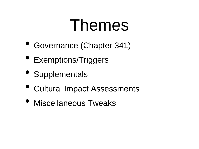#### Themes

- Governance (Chapter 341)
- Exemptions/Triggers
- Supplementals
- Cultural Impact Assessments
- Miscellaneous Tweaks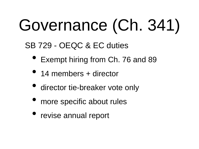# Governance (Ch. 341)

SB 729 - OEQC & EC duties

- Exempt hiring from Ch. 76 and 89
- 14 members + director
- director tie-breaker vote only
- more specific about rules
- revise annual report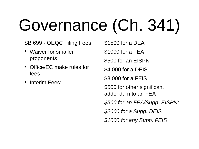# Governance (Ch. 341)

SB 699 - OEQC Filing Fees

- Waiver for smaller proponents
- Office/EC make rules for fees
- Interim Fees:

\$1500 for a DEA

\$1000 for a FEA

\$500 for an EISPN

\$4,000 for a DEIS

\$3,000 for a FEIS

\$500 for other significant addendum to an FEA

*\$500 for an FEA/Supp. EISPN;*

*\$2000 for a Supp. DEIS*

*\$1000 for any Supp. FEIS*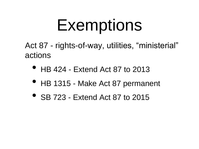#### Exemptions

Act 87 - rights-of-way, utilities, "ministerial" actions

- HB 424 Extend Act 87 to 2013
- HB 1315 Make Act 87 permanent
- SB 723 Extend Act 87 to 2015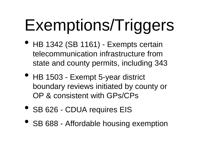# Exemptions/Triggers

- HB 1342 (SB 1161) Exempts certain telecommunication infrastructure from state and county permits, including 343
- HB 1503 Exempt 5-year district boundary reviews initiated by county or OP & consistent with GPs/CPs
- SB 626 CDUA requires EIS
- SB 688 Affordable housing exemption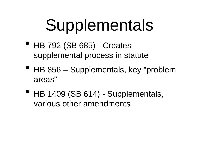## Supplementals

- HB 792 (SB 685) Creates supplemental process in statute
- HB 856 Supplementals, key "problem" areas"
- HB 1409 (SB 614) Supplementals, various other amendments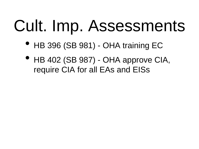#### Cult. Imp. Assessments

- HB 396 (SB 981) OHA training EC
- HB 402 (SB 987) OHA approve CIA, require CIA for all EAs and EISs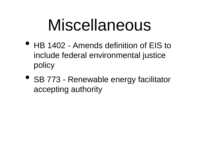#### Miscellaneous

- HB 1402 Amends definition of EIS to include federal environmental justice policy
- SB 773 Renewable energy facilitator accepting authority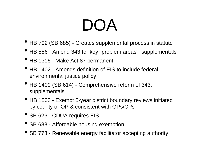#### DOA

- HB 792 (SB 685) Creates supplemental process in statute
- HB 856 Amend 343 for key "problem areas", supplementals
- HB 1315 Make Act 87 permanent
- HB 1402 Amends definition of EIS to include federal environmental justice policy
- HB 1409 (SB 614) Comprehensive reform of 343, supplementals
- HB 1503 Exempt 5-year district boundary reviews initiated by county or OP & consistent with GPs/CPs
- SB 626 CDUA requires EIS
- SB 688 Affordable housing exemption
- SB 773 Renewable energy facilitator accepting authority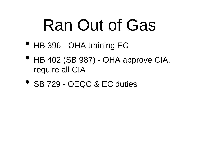#### Ran Out of Gas

- HB 396 OHA training EC
- HB 402 (SB 987) OHA approve CIA, require all CIA
- SB 729 OEQC & EC duties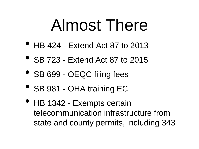#### Almost There

- HB 424 Extend Act 87 to 2013
- SB 723 Extend Act 87 to 2015
- SB 699 OEQC filing fees
- SB 981 OHA training EC
- HB 1342 Exempts certain telecommunication infrastructure from state and county permits, including 343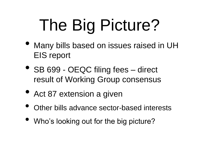# The Big Picture?

- Many bills based on issues raised in UH EIS report
- SB 699 OEQC filing fees direct result of Working Group consensus
- Act 87 extension a given
- Other bills advance sector-based interests
- Who's looking out for the big picture?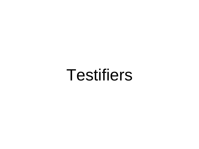Testifiers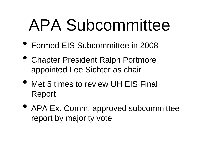#### APA Subcommittee

- Formed EIS Subcommittee in 2008
- Chapter President Ralph Portmore appointed Lee Sichter as chair
- Met 5 times to review UH EIS Final Report
- APA Ex. Comm. approved subcommittee report by majority vote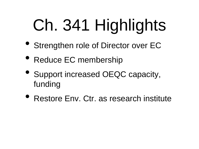# Ch. 341 Highlights

- Strengthen role of Director over EC
- Reduce EC membership
- Support increased OEQC capacity, funding
- Restore Env. Ctr. as research institute